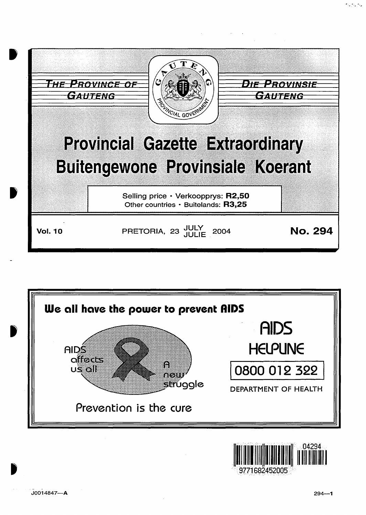



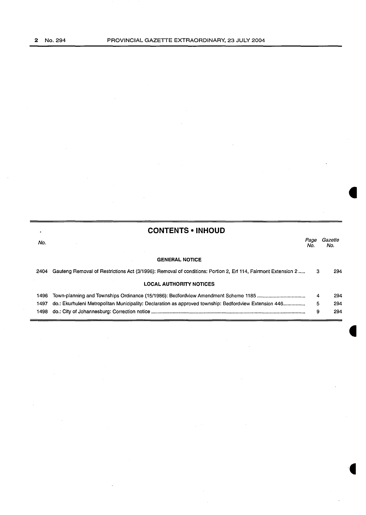| ٠    | <b>CONTENTS • INHOUD</b>                                                                                      |             |                |
|------|---------------------------------------------------------------------------------------------------------------|-------------|----------------|
| No.  |                                                                                                               | Page<br>No. | Gazette<br>No. |
|      | <b>GENERAL NOTICE</b>                                                                                         |             |                |
| 2404 | Gauteng Removal of Restrictions Act (3/1996): Removal of conditions: Portion 2, Erf 114, Fairmont Extension 2 | з           | 294            |
|      | <b>LOCAL AUTHORITY NOTICES</b>                                                                                |             |                |
| 1496 |                                                                                                               | 4           | 294            |
| 1497 | do.: Ekurhuleni Metropolitan Municipality: Declaration as approved township: Bedfordview Extension 446        | 5           | 294            |
| 1498 |                                                                                                               | 9           | 294            |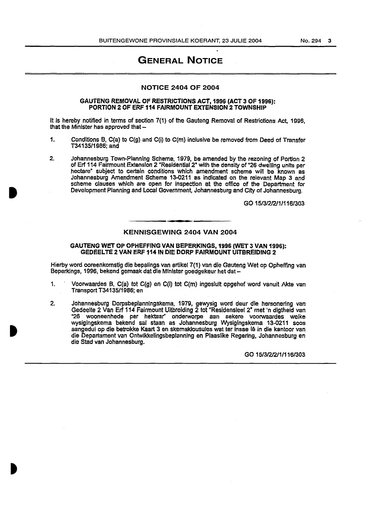### GENERAL NOTICE

#### NOTICE 2404 OF 2004

#### GAUTENG REMOVAL OF RESTRICTIONS ACT, 1996 (ACT 3 OF 1996): PORTION 2 OF ERF 114 FAIRMOUNT EXTENSION 2 TOWNSHIP

It Is hereby notified in terms of section 7(1) of the Gauteng Removal of Restrictions Act, 1996, that the Minister has approved that  $-$ 

- 1. Conditions B, C(a) to C(g) and C(i) to C(m) inclusive be removed from Deed of Transfer T34135/1986; and
- 2. Johannesburg Town-Planning Scheme, 1979, be amended by the rezoning of Portion 2 of Er1114 Fairmount Extension 2 "Residentlal2" with the density of "26 dwelling units per hectare" subject to certain conditions which amendment scheme will be known as Johannesburg Amendment Scheme 13-0211 as indicated on the relevant Map 3 and scheme clauses which are open for inspection at the office of the Department for Development Planning and Local Government, Johannesburg and City of Johannesburg.

GO 15/3/212/1/116/303

#### KENNISGEWING 2404 VAN 2004

#### GAUTENG WET OP OPHEFFING VAN BEPERKINGS, 1996 (WET 3 VAN 1996): GEDEELTE 2 VAN ERF 114 IN DIE DORP FAIRMOUNT UITBREIDING 2

Hierby word ooreenkomstig die bepalings van artikel 7(1) van die Gauteng Wet op Opheffing van Beperkings, 1996, bekend gemaak dat die Minister goedgekeur het dat-

- 1. Voorwaardes B, C(a} tot C(g) en C(i} tot C(m) ingesluit opgehef word vanuit Akte van Transport T34135/1986; en
- 2. Johannesburg Dorpsbeplanningskema, 1979, gewysig word deur die hersonering van Gedeelte 2 Van Erf 114 Fairmount Uitbreiding 2 tot "Residensieel 2" met 'n digtheid van "26 wooneenhede per hektaar" onderworpe aan sekere voorwaardes welke wysigingskema bekend sal staan as Johannesburg Wysigingskema 13~0211 soos aangedui op die betrokke Kaart 3 en skemaklousules wat ter insae le in die kantoor van die Departament van Ontwikkelingsbeplanning en Plaaslike Regering, Johannesburg en die Stad van Johannesburg.

GO 15/312/211/116/303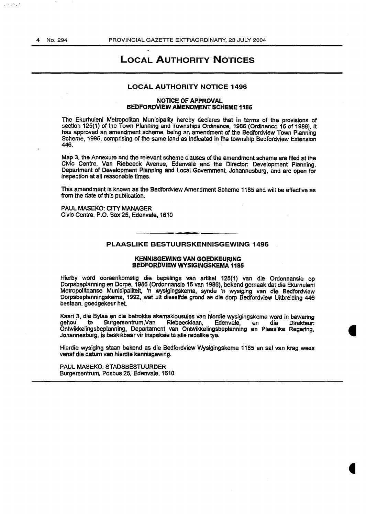فراقراقر

### LOCAL AUTHORITY NOTICES

#### LOCAL AUTHORITY NOTICE 1496

#### NOTICE OF APPROVAL BEDFORDVIEW AMENDMENT SCHEME 1185

The Ekurhuleni Metropolitan Municipality hereby declares that in terms of the provisions of section 125(1) of the Town Planning and Townships Ordinance, 1986 (Ordinance 15 of 1986), it has approved an amendment scheme, being an amendment of the Bedfordview Town Planning Scheme, 1995, comprising of the same land as indicated in the township Bedfordview Extension 446.

Map 3, the Annexure and the relevant scheme clauses of the amendment scheme are filed at the Civic Centre, Van Riebeeck Avenue, Edenvale and the Director: Development Planning, Department of Development Planning and Local Government, Johannesburg, and are open for inspection at all reasonable times.

This amendment is known as the Bedfordview Amendment Scheme 1185 and will be effective as from the date of this publication.

PAUL MASEKO: CITY MANAGER Civic Centre, P.O. Box 25, Edenvale, 1610

#### PLAASLIKE BESTUURSKENNISGEWING 1496

#### KENNISGEWING VAN GOEDKEURING BEDFORDVIEW WYSIGINGSKEMA 1185

Hierby word ooreenkomstig die bepalings van artikel 125(1) van die Ordonnansie op Dorpsbeplanning en Dorpe, 1986 (Ordonnansie 15 van 1986), bekend gemaak dat die Ekurhuleni Metropolitaanse Munisipaliteit, 'n wysigingskema, synde 'n wysiging van die Bedfordview Dorpsbeplanningskema, 1992, wat uit diesetfde grond as die dorp Bedfordview Uitbreiding 446 bestaan, goedgekeur het.

Kaart 3, die Bylae en die betrokke skemaklousules van hierdie wysigingskema word in bewaring<br>gehou te Burgersentrum,Van Riebeecklaan, Edenvale, en die Direkteur: gehou te Burgersentrum,Van Riebeecklaan, Edenvale, en die Direkteur: Ontwikkelingsbeplanning, Departament van Ontwikkelingsbeplanning en Plaaslike Regenng, Johannesburg, is beskikbaar vir inspeksie te aile redelike tye.

Hierdie wysiging staan bekend as die Bedfordview Wysigingskema 1185 en sal van krag wees vanaf die datum van hierdie kennisgewing.

PAUL MASEKO: STADSBESTUURDER Burgersentrum, Posbus 25, Edenvale, 1610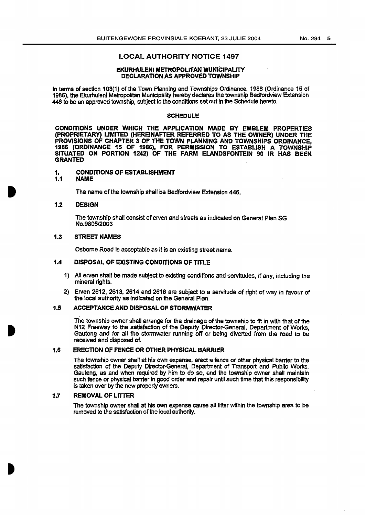#### LOCAL AUTHORITY NOTICE 1497

#### EKURHULENI METROPOLITAN MUNICIPAUTY DECLARATION AS APPROVED TOWNSHIP

In terms of section 103(1) of the Town Planning and Townships Ordinance, 1986 (Ordinance 15 of 1986), the Ekurhuleni Metropolitan Municipality hereby declares the township Bedfordview Extension 446 to be an approved township, subject to the conditions set out in the SChedule hereto.

#### **SCHEDULE**

CONDITIONS UNDER WHICH THE APPLICATION MADE BY EMBLEM PROPERTIES (PROPRIETARY) LIMITED (HEREINAFTER REFERRED TO AS THE OWNER) UNDER THE PROVISIONS OF CHAPTER 3 OF THE TOWN PLANNING AND TOWNSHIPS ORDINANCE. 1986 (ORDINANCE 15 OF 1986), FOR PERMISSION TO ESTABLISH A TOWNSHIP SITUATED ON PORTION 1242) OF THE FARM ELANDSFONTEIN 90 IR HAS BEEN GRANTED

# 1. CONDITIONS OF ESTABLISHMENT<br>1.1 NAME

#### NAME

The name of the township shall be Bedfordview Extension 446.

#### 1.2 DESIGN

The township shall consist of erven and streets as jndicated on General Plan SG No.9805/2003

#### 1.3 STREET NAMES

Osborne Road is acceptable as it is an existing street name.

#### 1.4 DISPOSAL OF EXISTING CONDITIONS OF TITLE

- 1) All erven shall be made subject to existing conditions and servitudes, If any, including the mineral rights.
- 2) Erven 2612, 2613, 2614 and 2616 are subject to a servitude of right of way in favour of the local authority as indicated on the General Plan.

#### 1.5 ACCEPTANCE AND DISPOSAL OF STORMWATER

The township owner shall arrange for the drainage of the township to fit in with that of the N12 Freeway to the satisfaction of the Deputy Director-General, Department of Works, Gauteng and for all the stormwater running off or being diverted from the road to be received and disposed of.

#### 1.6 ERECTION OF FENCE OR OTHER PHYSICAL BARRIER

The township owner shall at his own expense, erect a fence or other physical barrier to the satisfaction of the Deputy Director-General, Department of Transport and Public Works, Gauteng, as and When required by him to do so, and the township owner shall maintain such fence or physical barrier in good order and repair until such time that this responsibility is taken over by the new property owners.

#### 1.7 REMOVAL OF LITTER

The township owner shall at his own expense cause all litter within the township area to be removed to the satisfaction of the local authority.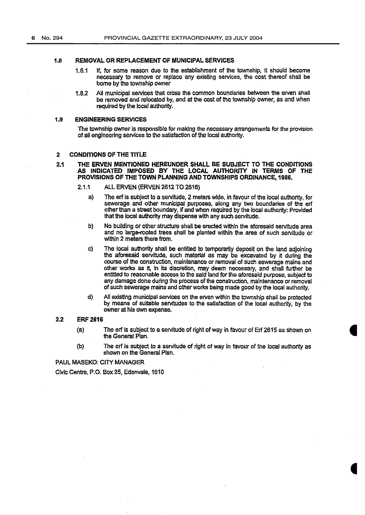#### 1.8 REMOVAL OR REPLACEMENT OF MUNICIPAL SERVICES

- 1.8.1 If, for some reason due to the establishment of the township, it should become necessary to remove or replace any existing services, the cost thereof shall be borne by the township owner
- 1.8.2 All municipal services that cross the common boundaries between the erven shall be removed and relocated by, and at the cost of the township owner, as and when required by the local authority.

#### 1.9 ENGINEERING SERVICES

The township owner is responsible for making the necessary arrangements for the provision of all engineering services to the satisfaction of the local authority.

#### 2 CONDITIONS OF THE TITLE

#### 2.1 THE ERVEN MENTIONED HEREUNDER SHALL BE SUBJECT TO THE CONDITIONS AS INDICATED IMPOSED BY THE LOCAL AUTHORITY IN TERMS OF THE PROVISIONS OF THE TOWN PLANNING AND TOWNSHIPS ORDINANCE, 1986.

- 2.1.1 ALL ERVEN (ERVEN 2612 TO 2616)
	- a) The erf is subject to a servitude, 2 meters wide, in favour of the local authority, for sewerage and other municipal purposes, along any two boundaries of the erf other than a street boundary, if and when required by the local authority: Provided that the local authority may dispense with any such servitude.
	- b) No building or other structure shall be erected within the aforesaid servitude area and no large-rooted trees shall be planted within the area of such servitude or Within 2 meters there from.
	- c) The local authority shall be entitled to temporarily deposit on the land adjoining the aforesaid servitude, such material as may be excavated by it during the course of the construction, maintenance or removal of such sewerage mains and other works as it, in its discretion, may deem necessary, and shall further be entitled to reasonable access to the said land for the aforesaid purpose, subject to any damage done during the process of the construction, maintenance or removal of such sewerage mains and other works being made good by the local authority.
	- d) All existing municipal services on the erven within the township shall be protected by means of suitable servitudes to the satisfaction of the local authority, by the owner at his own expense.

#### 2.2 ERF2616

- (a) The erf is subject to a servitude of right of way in favour of Erf 2615 as shown on the General Plan.
- (b) The erf is subject to a servitude of right of way in favour of the local authority as shown on the General Plan.

PAUL MASEKO: CITY MANAGER

Civic Centre, P.O. Box 25, Edenvale, 1610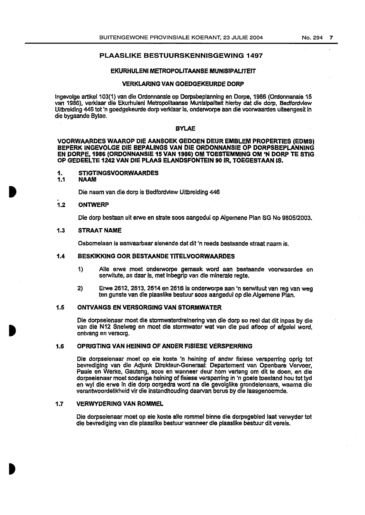#### PLAASLIKE BESTUURSKENNISGEWING 1497

#### EKURHULENI METROPOLITAANSE MUNISIPAUTEIT

#### VERKLARING VAN GOEDGEKEURDE DORP

Ingevolge artikel 103(1) van die Ordonnansie op Dorpsbeplanning en Dorpe, 1986 (Ordonnansie 15 van 1986), verklaar die Ekurhulenl Metropolitaanse Munlslpalitelt hierby dat die dorp, Bedfordview Uitbreiding 446 tot 'n goedgekeurde dorp verklaar is, onderworpe aan die voorwaardes uiteengesit in die bygaande Bylae.

#### BYLAE

VOORWAARDES WAAROP DIE AANSOEK GEDOEN DEUR EMBLEM PROPERTIES (EDMS) BEPERK INGEVOLGE DIE BEPALINGS VAN DIE ORDONNANSIE OP DORPSBEPLANNING EN DORPE, 1986 (ORDONNANSIE 15 VAN 1986) OM TOESTEMMING OM 'N DORP TE STIG OP GEDEELTE 1242 VAN DIE PLAAS ELANDSFONTEIN 90 IR, TOEGESTAAN IS.

### 1. STIGTINGSVOORWAARDES<br>1.1 NAAM

#### 1.1 NAAM

Die naam van die dorp is Bedfordview Uitbreiding 446

#### 1.2 **ONTWERP**

Die dorp bestaan uit erwe en strate soos aangedui op Algemene Plan SG No 9805/2003.

#### 1.3 STRAAT NAME

Osbomelaan is aanvaarbaar sienende dat dit 'n reeds bestaande straat naam is.

#### 1.4 BESKIKKING OOR BESTAANDE TITELVOORWAARDES

- 1) Aile erwe moet onderworpe gemaak word aan bestaande voorwaardes en serwitute, as daar is, met inbegrip van die minerale regte.
- 2) Erwe 2612, 2613, 2614 en 2616 is onderworpe aan 'n serwituut van reg van weg ten gunste van die plaaslike bestuur soos aangedui op die Algemene Plan.

#### 1.5 ONTVANGS EN VERSORGING VAN STORMWATER

Die dorpseienaar moet die stormwaterdreinering van die dorp so reel dat dit lnpas by die van die N12 Snelweg en moet die storrnwater wat van die pad afloop of afgelel word, ontvang en versorg.

#### 1.6 OPRIGTING VAN HEINING OF ANDER FISIESE VERSPERRING

Die dorpseienaar moet op eie koste 'n heining of ander fisiese versperring oprig tot bevrediging van die Adjunk Direkteur-Generaal: Departement van Openbare Vervoer, Paaie en Werke, Gauteng, soos en wanneer deur hom verlang om dit te doen, en die dorpseienaar moet sodanige heining of fisiese versperring in 'n goele toestand hou tot tyd en wyl die erwe in die dorp oorgedra word na die gevolglike grondelenaars, waama die verantwoordelikheid vir die instandhouding daarvan berus by die laasgenoemde.

#### 1.7 VERWYDERINGVAN ROMMEL

Die dorpseienaar moet op eie koste aile rommel binne die dorpsgebied laat verwyder tot die bevrediging van die plaaslike bestuur wanneer die plaaslike bestuur dit vereis.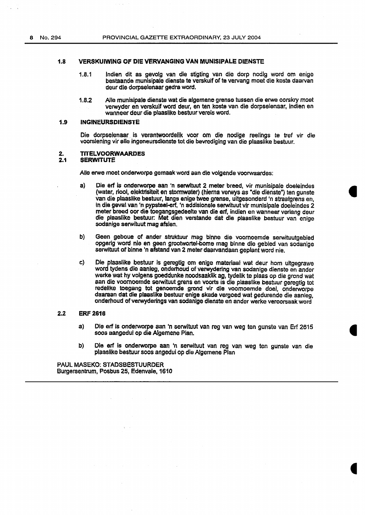#### 1.8 VERSKUIWING OF DIE VERVANGING VAN MUNISIPALE DIENSTE

- 1.8.1 lndien dit as gevolg van die stigting van die dorp nodig word om enige bestaande munisipale dienste te verskuif of te vervang meet die koste daarvan deur die dorpseienaar gedra word.
- 1.8.2 Aile munisipale dienste wat die algemene grense tussen die erwe oorskry moet verwyder en verskuif word· deur, en ten koste van die dorpseienaar, indien en wanneer deur die plaaslike bestuur vereis word.

#### 1.9 INGINEURSDIENSTE

Die dorpseienaar is verantwoordelik voor om die nodige reelings te tref vir die voorsiening vir aile ingeneursdienste tot die bevrediging van die plaaslike bestuur.

# 2. TITELVOORWAARDES<br>2.1 SERWITUTE

#### **SERWITUTE**

Aile erwe moet onderwcrpe gemaak word aan die volgende voorwaardes:

- a) Die erf is onderworpe aan 'n serwltuut 2 meter breed, vir munisipale doeleindes (water, riool, elektrisiteit en stormwater) (hierna verwys as "die dienste") ten gunste van die plaaslike bestuur, langs enige twee grense, uitgesonderd 'n straatgrens en, in die geval van 'n pypsteel-erf, 'n addisionele serwituut vir munisipale doeleindes 2 meter breed oor die toegangsgedeelte van die erf, indien en wanneer verlang deur die plaaslike bestuur: Met dien verstande dat die plaaslike bestuur van enige sodanige serwituut mag afsien.
- b) Geen geboue of ander struktuur mag binne die voornoemde serwituutgebied opgerig word nie en geen grootwortel-bome mag binne die gebied van sodanige serwituut of binne 'n afstand van 2 meter daarvandaan geplant word nie.
- c) Die plaaslike bestuur is geregtlg om enige materiaal wat deur hom uitgegrawe word tydens die aanleg, onderhoud of verwydering van sodanige dienste en ander werke wat hy volgens goeddunke noodsaaklik ag, tydelik te plaas op die grond wat aan die voomoemde serwituut grens en voorts is die plaaslike bestuur geregtig tot redellke toegang tot genoemde grond vir die voomoemde doel, onderworpe daaraan dat die plaaslike bestuur enige skade vergoed wat gedurende die aanleg, onderhoud of verwyderings van sodanige dienste en ander werke veroorsaak word

#### 2.2 ERF 2616

- a) Die erf Is onderworpe aan 'n serwituut van reg van weg ten gunste van Erf 2615 soos aangedui op die Algemene Plan.
- b) Die erf is onderworpe aan 'n serwituut van reg van weg ten gunste van die plaaslike bestuur soos angedui op die Algemene Plan

PAUL MASEKO: STADSBESTUURDER Burgersentrum, Posbus 25, Edenvale, 1610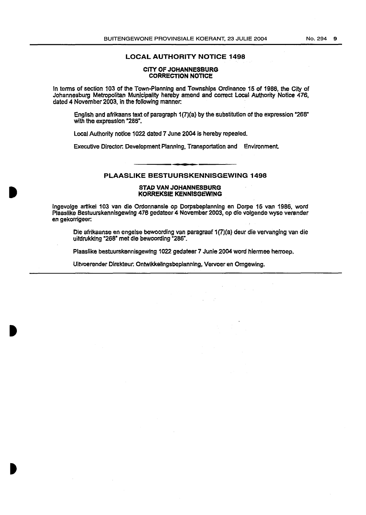#### LOCAL AUTHORITY NOTICE 1498

#### CITY OF JOHANNESBURG CORRECTION NOTICE

In terms of section 103 of the Town-Planning and Townships Ordinance 15 of 1986, the City of Johannesburg Metropolitan Municipality hereby amend and correct Local Authority Notice 476, dated 4 November 2003, in the following manner.

English and afrikaans text of paragraph 1(7)(a) by the substitution of the expression "268" with the expression "286".

Local Authority notice 1022 dated 7 June 2004 is hereby repealed.

Executive Director: Development Planning, Transportation and Environment.

#### PLAASLIKE BESTUURSKENNISGEWING 1498

#### STAD VAN JOHANNESBURG KORREKSIE KENNISGEWJNG

lngevolge artlkel 103 van die Ordonnansie op Dorpsbeplannlng en Dorpe 15 van 1986, word Plaaslike Bestuurskennlsgewing 476 gedateer 4 November 2003, op die volgende wyse verander en gekorrigeer:

Die afrikaanse en engelse bewoording van paragraaf 1(7)(a) deur die vervanging van die uitdrukking ·268" met die bewoording ~286".

Plaaslike bestuurskennisgewing 1022 gedateer 7 Junie 2004 word hiermee herroep.

Uitvoerender Direkteur: Ontwlkkelingsbeplanning, Vervoer en Omgewing.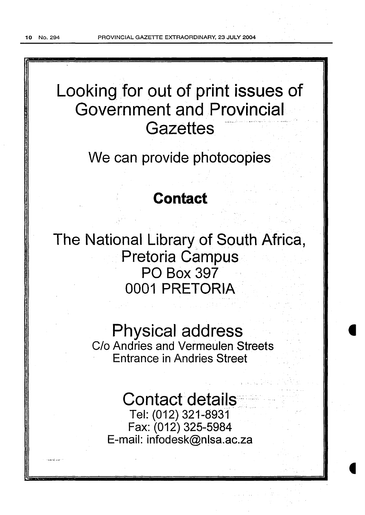# Looking for out of print issues of Government and Provincial<br>Gazettes

We can provide photocopies

# **Contact**

The National Library of South Africa, Pretoria Campus. PO Box 397 0001 PRETORIA

# Physical address

C/o Andries and Vermeulen Streets Entrance in Andries Street

Contact details Tel: (012) 321-8931 Fax: (012) 325-5984 E-mail: infodesk@nlsa.ac.za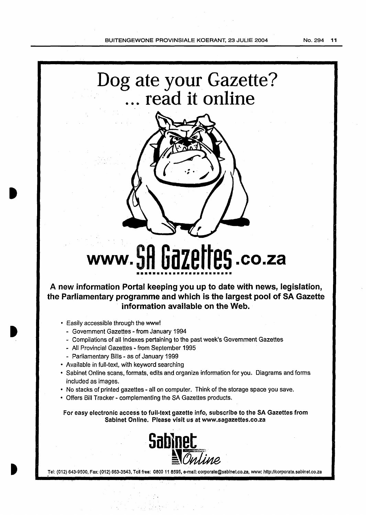# **Dog ate your Gazette?**  . . . **read it online**



# **www. SR Gazettes .co.za**  \*\*\*\*\*\*\*\*\*\*\*\*\*\*\*\*\*\*\*\*\*\*\*\*\*\*\*\*\*\*

**A new information Portal keeping you up to date with news, legislation, the Parliamentary programme and which is the largest pool of SA Gazette information available on the Web.** 

- Easily accessible through the www!
	- Government Gazettes- from January 1994
	- Compilations of all indexes pertaining to the past week's Government Gazettes
	- All Provincial Gazettes- from September 1995
	- Parliamentary Bills as of January 1999
- Available in full-text, with keyword searching
- Sabinet Online scans, formats, edits and organize information for you. Diagrams and forms included as images.
- No stacks of printed gazettes- all on computer. Think of the storage space you save.
- Offers Bill Tracker- complementing the SA Gazettes products.

For easy electronic access to full-text gazette info, subscribe to the SA Gazettes from Sablnet Online. Please visit us at www.sagazettes.co.za



Tel: (012) 643-9500, Fax: (012) 663-3543, Toll free: 0800 11 8595, e-mail: corporate@sabinet.co.za, www: http://corporate.sabinet.co.za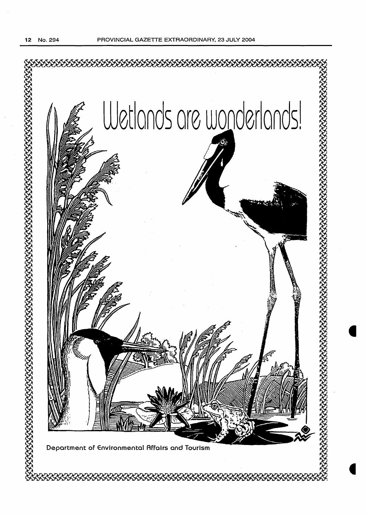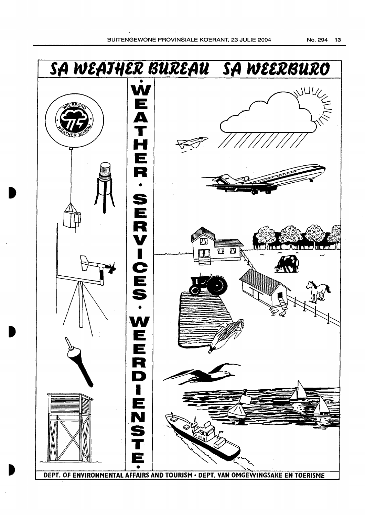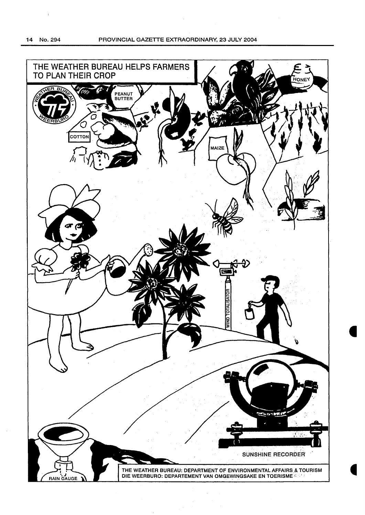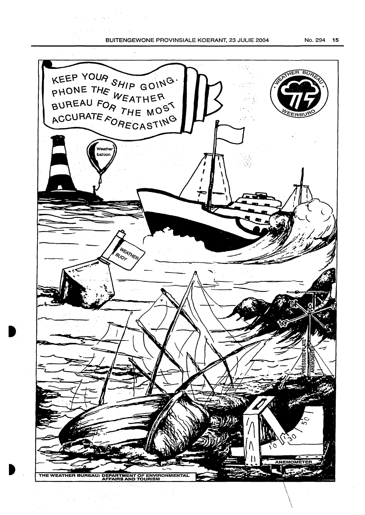